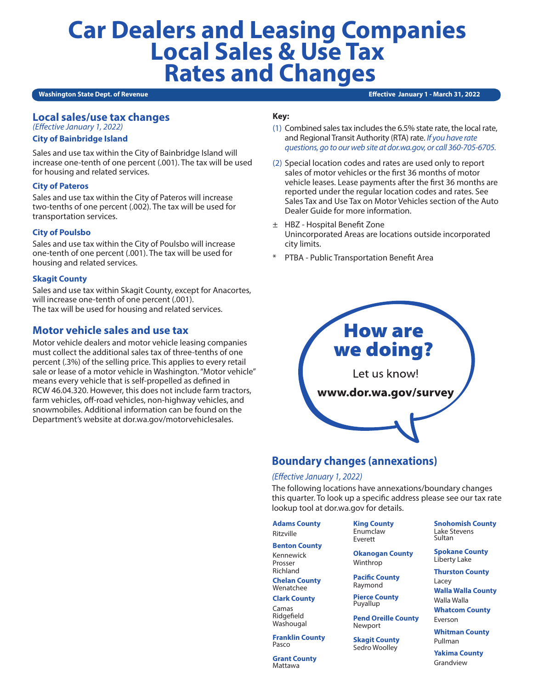# **Car Dealers and Leasing Companies Local Sales & Use Tax Rates and Changes**

#### **Washington State Dept. of Revenue**

**Effective January 1 - March 31, 2022** 

## **Local sales/use tax changes**

*(Effective January 1, 2022)*

## **City of Bainbridge Island**

Sales and use tax within the City of Bainbridge Island will increase one-tenth of one percent (.001). The tax will be used for housing and related services.

## **City of Pateros**

Sales and use tax within the City of Pateros will increase two-tenths of one percent (.002). The tax will be used for transportation services.

## **City of Poulsbo**

Sales and use tax within the City of Poulsbo will increase one-tenth of one percent (.001). The tax will be used for housing and related services.

## **Skagit County**

Sales and use tax within Skagit County, except for Anacortes, will increase one-tenth of one percent (.001). The tax will be used for housing and related services.

## **Motor vehicle sales and use tax**

Motor vehicle dealers and motor vehicle leasing companies must collect the additional sales tax of three-tenths of one percent (.3%) of the selling price. This applies to every retail sale or lease of a motor vehicle in Washington. "Motor vehicle" means every vehicle that is self-propelled as defined in RCW 46.04.320. However, this does not include farm tractors, farm vehicles, off-road vehicles, non-highway vehicles, and snowmobiles. Additional information can be found on the Department's website at dor.wa.gov/motorvehiclesales.

## **Key:**

- (1) Combined sales tax includes the 6.5% state rate, the local rate, and Regional Transit Authority (RTA) rate. *If you have rate questions, go to our web site at dor.wa.gov, or call 360-705-6705.*
- (2) Special location codes and rates are used only to report sales of motor vehicles or the first 36 months of motor vehicle leases. Lease payments after the first 36 months are reported under the regular location codes and rates. See Sales Tax and Use Tax on Motor Vehicles section of the Auto Dealer Guide for more information.
- ± HBZ Hospital Benefit Zone Unincorporated Areas are locations outside incorporated city limits.
- PTBA Public Transportation Benefit Area



## **Boundary changes (annexations)**

## *(Effective January 1, 2022)*

The following locations have annexations/boundary changes this quarter. To look up a specific address please see our tax rate lookup tool at dor.wa.gov for details.

**Adams County**

Ritzville

Prosser Richland

**Benton County** Kennewick

Everett

**Okanogan County** Winthrop

**Pacific County** Raymond

**Pierce County** Puyallup

**Pend Oreille County** Newport

**Skagit County** Sedro Woolley

**Snohomish County** Lake Stevens Sultan

**Spokane County** Liberty Lake

**Thurston County** Lacey **Walla Walla County** Walla Walla

**Whatcom County** Everson

**Whitman County**

Pullman

**Yakima County** Grandview

**Chelan County** Wenatchee

**Clark County**

Camas Ridgefield Washougal

**Franklin County** Pasco

**Grant County** Mattawa

**King County** Enumclaw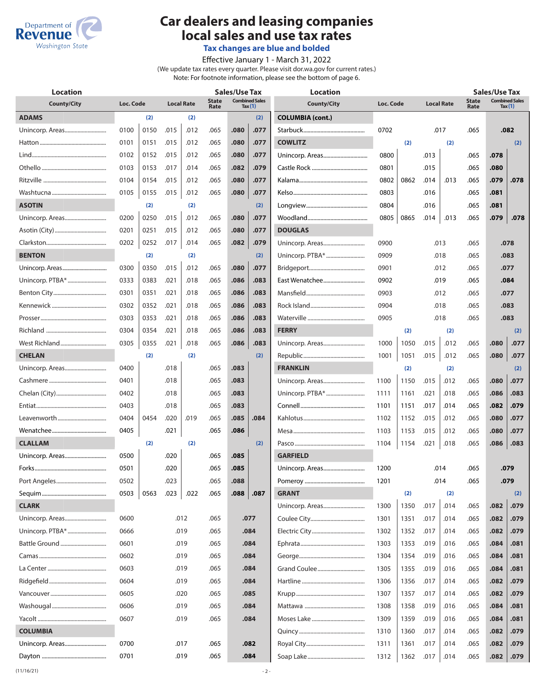

## **Car dealers and leasing companies local sales and use tax rates**

**Tax changes are blue and bolded**

Effective January 1 - March 31, 2022

(We update tax rates every quarter. Please visit dor.wa.gov for current rates.)

Note: For footnote information, please see the bottom of page 6.

| <b>Location</b>    |           |      |                   |      | <b>Sales/Use Tax</b>                                |              |      | <b>Location</b>         |           |      |                   |      | <b>Sales/Use Tax</b> |                                    |      |  |  |
|--------------------|-----------|------|-------------------|------|-----------------------------------------------------|--------------|------|-------------------------|-----------|------|-------------------|------|----------------------|------------------------------------|------|--|--|
| <b>County/City</b> | Loc. Code |      | <b>Local Rate</b> |      | <b>Combined Sales</b><br>State<br>Tax $(1)$<br>Rate |              |      | <b>County/City</b>      | Loc. Code |      | <b>Local Rate</b> |      | <b>State</b><br>Rate | <b>Combined Sales</b><br>Tax $(1)$ |      |  |  |
| <b>ADAMS</b>       |           | (2)  |                   | (2)  |                                                     |              | (2)  | <b>COLUMBIA (cont.)</b> |           |      |                   |      |                      |                                    |      |  |  |
|                    | 0100      | 0150 | .015              | .012 | .065                                                | .080         | .077 |                         | 0702      |      |                   | .017 | .065                 |                                    | .082 |  |  |
|                    | 0101      | 0151 | .015              | .012 | .065                                                | .080         | .077 | <b>COWLITZ</b>          |           | (2)  |                   | (2)  |                      |                                    | (2)  |  |  |
|                    | 0102      | 0152 | .015              | .012 | .065                                                | .080         | .077 |                         | 0800      |      | .013              |      | .065                 | .078                               |      |  |  |
|                    | 0103      | 0153 | .017              | .014 | .065                                                | .082         | .079 |                         | 0801      |      | .015              |      | .065                 | .080                               |      |  |  |
|                    | 0104      | 0154 | .015              | .012 | .065                                                | .080         | .077 |                         | 0802      | 0862 | .014              | .013 | .065                 | .079                               | .078 |  |  |
|                    | 0105      | 0155 | .015              | .012 | .065                                                | .080         | .077 |                         | 0803      |      | .016              |      | .065                 | .081                               |      |  |  |
| <b>ASOTIN</b>      |           | (2)  |                   | (2)  |                                                     |              | (2)  |                         | 0804      |      | .016              |      | .065                 | .081                               |      |  |  |
| Unincorp. Areas    | 0200      | 0250 | .015              | .012 | .065                                                | .080         | .077 |                         | 0805      | 0865 | .014              | .013 | .065                 | .079                               | .078 |  |  |
|                    | 0201      | 0251 | .015              | .012 | .065                                                | .080         | .077 | <b>DOUGLAS</b>          |           |      |                   |      |                      |                                    |      |  |  |
|                    | 0202      | 0252 | .017              | .014 | .065                                                | .082         | .079 |                         | 0900      |      |                   | .013 | .065                 |                                    | .078 |  |  |
| <b>BENTON</b>      |           | (2)  |                   | (2)  |                                                     |              | (2)  | Unincorp. PTBA*         | 0909      |      |                   | .018 | .065                 |                                    | .083 |  |  |
|                    | 0300      | 0350 | .015              | .012 | .065                                                | .080         | .077 |                         | 0901      |      |                   | .012 | .065                 |                                    | .077 |  |  |
|                    | 0333      | 0383 | .021              | .018 | .065                                                | .086         | .083 | East Wenatchee          | 0902      |      |                   | .019 | .065                 |                                    | .084 |  |  |
|                    | 0301      | 0351 | .021              | .018 | .065                                                | .086         | .083 |                         | 0903      |      |                   | .012 | .065                 |                                    | .077 |  |  |
|                    | 0302      | 0352 | .021              | .018 | .065                                                | .086         | .083 |                         | 0904      |      |                   | .018 | .065                 |                                    | .083 |  |  |
|                    | 0303      | 0353 | .021              | .018 | .065                                                | .083<br>.086 |      |                         | 0905      | .018 |                   |      | .065                 | .083                               |      |  |  |
|                    | 0304      | 0354 | .021              | .018 | .065                                                | .086         | .083 | <b>FERRY</b>            |           | (2)  |                   | (2)  |                      |                                    | (2)  |  |  |
|                    | 0305      | 0355 | .021              | .018 | .065                                                | .086         | .083 |                         | 1000      | 1050 | .015              | .012 | .065                 | .080                               | .077 |  |  |
| <b>CHELAN</b>      |           | (2)  |                   | (2)  |                                                     |              | (2)  |                         | 1001      | 1051 | .015              | .012 | .065                 | .080                               | .077 |  |  |
|                    | 0400      |      | .018              |      | .065                                                | .083         |      | <b>FRANKLIN</b>         |           | (2)  |                   | (2)  |                      |                                    | (2)  |  |  |
|                    | 0401      |      | .018              |      | .065                                                | .083         |      |                         | 1100      | 1150 | .015              | .012 | .065                 | .080                               | .077 |  |  |
|                    | 0402      |      | .018              |      | .065                                                | .083         |      |                         | 1111      | 1161 | .021              | .018 | .065                 | .086                               | .083 |  |  |
|                    | 0403      |      | .018              |      | .065                                                | .083         |      |                         | 1101      | 1151 | .017              | .014 | .065                 | .082                               | .079 |  |  |
|                    | 0404      | 0454 | .020              | .019 | .065                                                | .085         | .084 |                         | 1102      | 1152 | .015              | .012 | .065                 | .080                               | .077 |  |  |
|                    | 0405      |      | .021              |      | .065                                                | .086         |      |                         | 1103      | 1153 | .015              | .012 | .065                 | .080                               | .077 |  |  |
| <b>CLALLAM</b>     |           | (2)  |                   | (2)  |                                                     |              | (2)  |                         | 1104      | 1154 | .021              | .018 | .065                 | .086                               | .083 |  |  |
| Unincorp. Areas    | 0500      |      | .020              |      | .065                                                | .085         |      | <b>GARFIELD</b>         |           |      |                   |      |                      |                                    |      |  |  |
|                    | 0501      |      | .020              |      | .065                                                | .085         |      |                         | 1200      |      |                   | .014 | .065                 |                                    | .079 |  |  |
|                    | 0502      |      | .023              |      | .065                                                | .088         |      |                         | 1201      |      |                   | .014 | .065                 |                                    | .079 |  |  |
|                    | 0503      | 0563 | .023              | .022 | .065                                                | .088         | .087 | <b>GRANT</b>            |           | (2)  |                   | (2)  |                      |                                    | (2)  |  |  |
| <b>CLARK</b>       |           |      |                   |      |                                                     |              |      |                         | 1300      | 1350 | .017              | .014 | .065                 | .082                               | .079 |  |  |
|                    | 0600      |      |                   | .012 | .065                                                |              | .077 |                         | 1301      | 1351 | .017              | .014 | .065                 | .082                               | .079 |  |  |
|                    | 0666      |      |                   | .019 | .065                                                |              | .084 |                         | 1302      | 1352 | .017              | .014 | .065                 | .082                               | .079 |  |  |
| Battle Ground      | 0601      |      |                   | .019 | .065                                                |              | .084 |                         | 1303      | 1353 | .019              | .016 | .065                 | .084                               | .081 |  |  |
|                    | 0602      |      |                   | .019 | .065                                                |              | .084 |                         | 1304      | 1354 | .019              | .016 | .065                 | .084                               | .081 |  |  |
|                    | 0603      |      |                   | .019 | .065                                                |              | .084 |                         | 1305      | 1355 | .019              | .016 | .065                 | .084                               | .081 |  |  |
|                    | 0604      |      |                   | .019 | .065                                                |              | .084 |                         | 1306      | 1356 | .017              | .014 | .065                 | .082                               | .079 |  |  |
|                    | 0605      |      |                   | .020 | .065                                                |              | .085 |                         | 1307      | 1357 | .017              | .014 | .065                 | .082                               | .079 |  |  |
|                    | 0606      |      |                   | .019 | .065                                                |              | .084 |                         | 1308      | 1358 | .019              | .016 | .065                 | .084                               | .081 |  |  |
|                    | 0607      |      |                   | .019 | .065                                                |              | .084 |                         | 1309      | 1359 | .019              | .016 | .065                 | .084                               | .081 |  |  |
| <b>COLUMBIA</b>    |           |      |                   |      |                                                     |              |      |                         | 1310      | 1360 | .017              | .014 | .065                 | .082                               | .079 |  |  |
| Unincorp. Areas    | 0700      |      |                   | .017 | .065                                                |              | .082 |                         | 1311      | 1361 | .017              | .014 | .065                 | .082                               | .079 |  |  |
|                    | 0701      |      |                   | .019 | .065                                                |              | .084 |                         | 1312      | 1362 | .017              | .014 | .065                 | .082                               | .079 |  |  |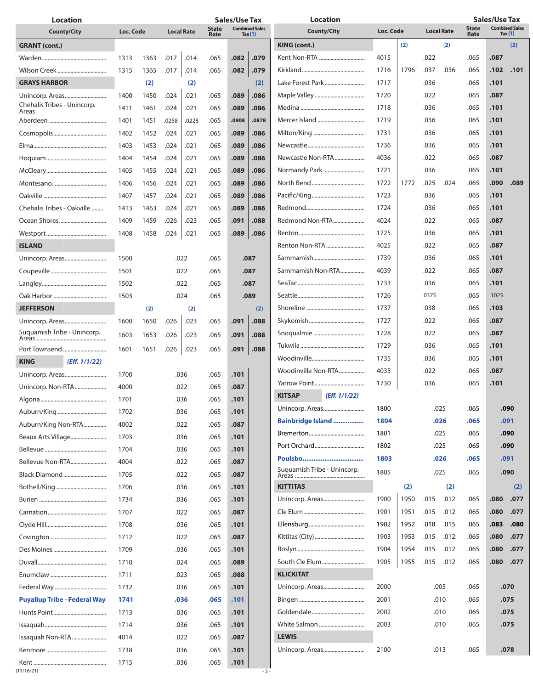| <b>Location</b>                      |           |      |       | Sales/Use Tax     |                                                            |       | <b>Location</b> |                                |           |      | <b>Sales/Use Tax</b> |      |                                                            |       |      |
|--------------------------------------|-----------|------|-------|-------------------|------------------------------------------------------------|-------|-----------------|--------------------------------|-----------|------|----------------------|------|------------------------------------------------------------|-------|------|
| <b>County/City</b>                   | Loc. Code |      |       | <b>Local Rate</b> | <b>Combined Sales</b><br><b>State</b><br>Rate<br>Tax $(1)$ |       |                 | <b>County/City</b>             | Loc. Code |      | <b>Local Rate</b>    |      | <b>Combined Sales</b><br><b>State</b><br>Rate<br>Tax $(1)$ |       |      |
| <b>GRANT</b> (cont.)                 |           |      |       |                   |                                                            |       |                 | KING (cont.)                   |           | (2)  |                      | (2)  |                                                            |       | (2)  |
|                                      | 1313      | 1363 | .017  | .014              | .065                                                       | .082  | .079            | Kent Non-RTA                   | 4015      |      | .022                 |      | .065                                                       | .087  |      |
|                                      | 1315      | 1365 | .017  | .014              | .065                                                       | .082  | .079            |                                | 1716      | 1796 | .037                 | .036 | .065                                                       | .102  | .101 |
| <b>GRAYS HARBOR</b>                  |           | (2)  |       | (2)               |                                                            |       | (2)             | Lake Forest Park               | 1717      |      | .036                 |      | .065                                                       | .101  |      |
| Unincorp. Areas                      | 1400      | 1450 | .024  | .021              | .065                                                       | .089  | .086            |                                | 1720      |      | .022                 |      | .065                                                       | .087  |      |
| Chehalis Tribes - Unincorp.<br>Areas | 1411      | 1461 | .024  | .021              | .065                                                       | .089  | .086            |                                | 1718      |      | .036                 |      | .065                                                       | .101  |      |
|                                      | 1401      | 1451 | .0258 | .0228             | .065                                                       | .0908 | .0878           |                                | 1719      |      | .036                 |      | .065                                                       | .101  |      |
|                                      | 1402      | 1452 | .024  | .021              | .065                                                       | .089  | .086            |                                | 1731      |      | .036                 |      | .065                                                       | .101  |      |
|                                      | 1403      | 1453 | .024  | .021              | .065                                                       | .089  | .086            |                                | 1736      |      | .036                 |      | .065                                                       | .101  |      |
|                                      | 1404      | 1454 | .024  | .021              | .065                                                       | .089  | .086            | Newcastle Non-RTA              | 4036      |      | .022                 |      | .065                                                       | .087  |      |
|                                      | 1405      | 1455 | .024  | .021              | .065                                                       | .089  | .086            | Normandy Park                  | 1721      |      | .036                 |      | .065                                                       | .101  |      |
|                                      | 1406      | 1456 | .024  | .021              | .065                                                       | .089  | .086            |                                | 1722      | 1772 | .025                 | .024 | .065                                                       | .090  | .089 |
|                                      | 1407      | 1457 | .024  | .021              | .065                                                       | .089  | .086            |                                | 1723      |      | .036                 |      | .065                                                       | .101  |      |
| Chehalis Tribes - Oakville           | 1413      | 1463 | .024  | .021              | .065                                                       | .089  | .086            |                                | 1724      |      | .036                 |      | .065                                                       | .101  |      |
|                                      | 1409      | 1459 | .026  | .023              | .065                                                       | .091  | .088            | Redmond Non-RTA                | 4024      |      | .022                 |      | .065                                                       | .087  |      |
|                                      | 1408      | 1458 | .024  | .021              | .065                                                       | .089  | .086            |                                | 1725      |      | .036                 |      | .065                                                       | .101  |      |
| <b>ISLAND</b>                        |           |      |       |                   |                                                            |       |                 | Renton Non-RTA                 | 4025      |      | .022                 |      | .065                                                       | .087  |      |
|                                      | 1500      |      |       | .022              | .065                                                       |       | .087            |                                | 1739      |      | .036                 |      | .065                                                       | .101  |      |
|                                      | 1501      |      |       | .022              | .065                                                       |       | .087            | Sammamish Non-RTA              | 4039      |      | .022                 |      | .065                                                       | .087  |      |
|                                      | 1502      |      | .022  |                   | .065                                                       |       | .087            |                                | 1733      |      | .036                 |      | .065                                                       | .101  |      |
|                                      | 1503      |      |       | .024              | .065                                                       |       | .089            |                                | 1726      |      | .0375                |      | .065                                                       | .1025 |      |
| <b>JEFFERSON</b>                     |           | (2)  |       | (2)               |                                                            |       | (2)             |                                | 1737      |      | .038                 |      | .065                                                       | .103  |      |
|                                      | 1600      | 1650 | .026  | .023              | .065                                                       | .091  | .088            |                                | 1727      |      | .022                 |      | .065                                                       | .087  |      |
| Suquamish Tribe - Unincorp.          | 1603      |      |       |                   |                                                            |       | .088            |                                | 1728      |      | .022                 |      | .065                                                       | .087  |      |
|                                      |           | 1653 | .026  | .023              | .065                                                       | .091  |                 |                                | 1729      |      | .036                 |      | .065                                                       | .101  |      |
| Port Townsend                        | 1601      | 1651 | .026  | .023              | .065                                                       | .091  | .088            |                                | 1735      |      | .036                 |      | .065                                                       | .101  |      |
| (Eff. 1/1/22)<br><b>KING</b>         |           |      |       |                   |                                                            |       |                 | Woodinville Non-RTA            | 4035      |      | .022                 |      | .065                                                       | .087  |      |
| Unincorp. Areas                      | 1700      |      |       | .036              | .065                                                       | .101  |                 |                                | 1730      |      | .036                 |      | .065                                                       | .101  |      |
| Unincorp. Non-RTA                    | 4000      |      |       | .022              | .065                                                       | .087  |                 | (Eff. 1/1/22)<br><b>KITSAP</b> |           |      |                      |      |                                                            |       |      |
|                                      | 1701      |      |       | .036              | .065                                                       | .101  |                 | Unincorp. Areas                | 1800      |      |                      | .025 | .065                                                       |       | .090 |
|                                      | 1702      |      |       | .036              | .065                                                       | .101  |                 | <b>Bainbridge Island </b>      | 1804      |      |                      | .026 | .065                                                       | .091  |      |
| Auburn/King Non-RTA                  | 4002      |      |       | .022              | .065                                                       | .087  |                 |                                | 1801      |      |                      | .025 | .065                                                       |       | .090 |
| Beaux Arts Village                   | 1703      |      |       | .036              | .065                                                       | .101  |                 |                                | 1802      |      |                      | .025 | .065                                                       |       | .090 |
|                                      | 1704      |      |       | .036              | .065                                                       | .101  |                 | Poulsbo                        | 1803      |      |                      | .026 | .065                                                       |       | .091 |
| Bellevue Non-RTA                     | 4004      |      |       | .022              | .065                                                       | .087  |                 | Suguamish Tribe - Unincorp.    | 1805      |      |                      |      |                                                            |       | .090 |
| Black Diamond                        | 1705      |      |       | .022              | .065                                                       | .087  |                 |                                |           |      |                      | .025 | .065                                                       |       |      |
|                                      | 1706      |      |       | .036              | .065                                                       | .101  |                 | <b>KITTITAS</b>                |           | (2)  |                      | (2)  |                                                            |       | (2)  |
|                                      | 1734      |      |       | .036              | .065                                                       | .101  |                 |                                | 1900      | 1950 | .015                 | .012 | .065                                                       | .080  | .077 |
|                                      | 1707      |      |       | .022              | .065                                                       | .087  |                 |                                | 1901      | 1951 | .015                 | .012 | .065                                                       | .080  | .077 |
|                                      | 1708      |      |       | .036              | .065                                                       | .101  |                 |                                | 1902      | 1952 | .018                 | .015 | .065                                                       | .083  | .080 |
|                                      | 1712      |      |       | .022              | .065                                                       | .087  |                 |                                | 1903      | 1953 | .015                 | .012 | .065                                                       | .080  | .077 |
|                                      | 1709      |      |       | .036              | .065                                                       | .101  |                 |                                | 1904      | 1954 | .015                 | .012 | .065                                                       | .080  | .077 |
|                                      | 1710      |      |       | .024              | .065                                                       | .089  |                 | South Cle Elum                 | 1905      | 1955 | .015                 | .012 | .065                                                       | .080  | .077 |
|                                      | 1711      |      |       | .023              | .065                                                       | .088  |                 | <b>KLICKITAT</b>               |           |      |                      |      |                                                            |       |      |
|                                      | 1732      |      |       | .036              | .065                                                       | .101  |                 | Unincorp. Areas                | 2000      |      |                      | .005 | .065                                                       |       | .070 |
| <b>Puyallup Tribe - Federal Way</b>  | 1741      |      |       | .036              | .065                                                       | .101  |                 |                                | 2001      |      |                      | .010 | .065                                                       |       | .075 |
|                                      | 1713      |      |       | .036              | .065                                                       | .101  |                 |                                | 2002      |      |                      | .010 | .065                                                       |       | .075 |
|                                      | 1714      |      |       | .036              | .065                                                       | .101  |                 |                                | 2003      |      |                      | .010 | .065                                                       |       | .075 |
| Issaquah Non-RTA                     | 4014      |      |       | .022              | .065                                                       | .087  |                 | <b>LEWIS</b>                   |           |      |                      |      |                                                            |       |      |
|                                      | 1738      |      |       | .036              | .065                                                       | .101  |                 | Unincorp. Areas                | 2100      |      |                      | .013 | .065                                                       |       | .078 |
| (11/16/21)                           | 1715      |      |       | .036              | .065                                                       | .101  | $-3-$           |                                |           |      |                      |      |                                                            |       |      |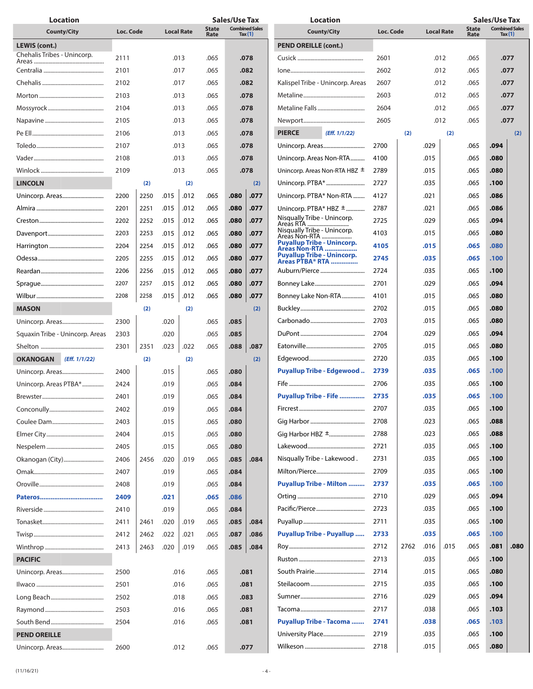| <b>Location</b>                  |           |      |      |                   |                      | <b>Sales/Use Tax</b>                                     |      | <b>Location</b>                                              |      |              |      |                      | <b>Sales/Use Tax</b>               |      |      |  |
|----------------------------------|-----------|------|------|-------------------|----------------------|----------------------------------------------------------|------|--------------------------------------------------------------|------|--------------|------|----------------------|------------------------------------|------|------|--|
| <b>County/City</b>               | Loc. Code |      |      | <b>Local Rate</b> | <b>State</b><br>Rate | <b>Combined Sales</b><br><b>County/City</b><br>Tax $(1)$ |      | Loc. Code<br><b>Local Rate</b>                               |      |              |      | <b>State</b><br>Rate | <b>Combined Sales</b><br>Tax $(1)$ |      |      |  |
| LEWIS (cont.)                    |           |      |      |                   |                      |                                                          |      | <b>PEND OREILLE (cont.)</b>                                  |      |              |      |                      |                                    |      |      |  |
| Chehalis Tribes - Unincorp.      | 2111      |      |      | .013              | .065<br>.078         |                                                          |      |                                                              | 2601 |              |      |                      | .065                               |      | .077 |  |
|                                  | 2101      |      |      | .017              |                      | .082<br>.065                                             |      |                                                              | 2602 | .012<br>.012 |      |                      | .065                               | .077 |      |  |
|                                  | 2102      |      |      | .017              | .082<br>.065         |                                                          |      | Kalispel Tribe - Unincorp. Areas                             | 2607 |              | .012 |                      | .065                               | .077 |      |  |
|                                  | 2103      |      |      | .013              |                      |                                                          |      |                                                              | 2603 |              | .012 |                      | .065                               |      |      |  |
|                                  |           |      |      |                   | .078<br>.065         |                                                          |      |                                                              |      |              |      |                      |                                    | .077 |      |  |
|                                  | 2104      |      |      | .013              |                      | .078<br>.065                                             |      |                                                              | 2604 |              | .012 |                      | .065                               | .077 |      |  |
|                                  | 2105      |      |      | .013              |                      | .065<br>.078                                             |      |                                                              | 2605 |              |      | .012                 | .065                               | .077 |      |  |
|                                  | 2106      |      |      | .013              | .065                 | .078                                                     |      | (Eff. 1/1/22)<br><b>PIERCE</b>                               |      | (2)          |      | (2)                  |                                    |      | (2)  |  |
|                                  | 2107      |      |      | .013              | .065                 | .078                                                     |      | Unincorp. Areas                                              | 2700 |              | .029 |                      | .065                               | .094 |      |  |
|                                  | 2108      |      |      | .013              | .065                 | .078                                                     |      | Unincorp. Areas Non-RTA                                      | 4100 |              | .015 |                      | .065                               | .080 |      |  |
|                                  | 2109      |      |      | .013              | .065                 |                                                          | .078 | Unincorp. Areas Non-RTA HBZ $\pm$                            | 2789 |              | .015 |                      | .065                               | .080 |      |  |
| <b>LINCOLN</b>                   |           | (2)  |      | (2)               |                      |                                                          | (2)  | Unincorp. PTBA*                                              | 2727 |              | .035 |                      | .065                               | .100 |      |  |
|                                  | 2200      | 2250 | .015 | .012              | .065                 | .080                                                     | .077 | Unincorp. PTBA* Non-RTA                                      | 4127 |              | .021 |                      | .065                               | .086 |      |  |
|                                  | 2201      | 2251 | .015 | .012              | .065                 | .080                                                     | .077 | Unincorp. $PTBA*HBZ \pm 1$                                   | 2787 |              | .021 |                      | .065                               | .086 |      |  |
|                                  | 2202      | 2252 | .015 | .012              | .065                 | .080                                                     | .077 | Nisqually Tribe - Unincorp.<br>Areas RTA                     | 2725 |              | .029 |                      | .065                               | .094 |      |  |
|                                  | 2203      | 2253 | .015 | .012              | .065                 | .080                                                     | .077 | Nisqually Tribe - Unincorp.<br>Areas Nón-RTA                 | 4103 |              | .015 |                      | .065                               | .080 |      |  |
|                                  | 2204      | 2254 | .015 | .012              | .065                 | .080                                                     | .077 | <b>Puyallup Tribe - Unincorp.</b><br><b>Areas Non-RTA</b>    | 4105 |              | .015 |                      | .065                               | .080 |      |  |
|                                  | 2205      | 2255 | .015 | .012              | .065                 | .080                                                     | .077 | <b>Puyallup Tribe - Unincorp.</b><br><b>Areas PTBA* RTA </b> | 2745 |              | .035 |                      | .065                               | .100 |      |  |
|                                  | 2206      | 2256 | .015 | .012              | .065                 | .080                                                     | .077 | Auburn/Pierce                                                | 2724 |              | .035 |                      | .065                               | .100 |      |  |
|                                  | 2207      | 2257 | .015 | .012              | .065                 | .080                                                     | .077 |                                                              | 2701 |              | .029 |                      | .065                               | .094 |      |  |
|                                  | 2208      | 2258 | .015 | .012              | .065                 | .080<br>.077                                             |      | Bonney Lake Non-RTA                                          | 4101 |              | .015 |                      | .065                               | .080 |      |  |
| <b>MASON</b>                     |           | (2)  |      | (2)               |                      |                                                          | (2)  |                                                              | 2702 |              | .015 |                      | .065                               | .080 |      |  |
|                                  | 2300      |      | .020 |                   | .065                 | .085                                                     |      |                                                              | 2703 |              | .015 |                      | .065                               | .080 |      |  |
|                                  | 2303      |      | .020 |                   | .065                 | .085                                                     |      |                                                              | 2704 |              | .029 |                      | .065                               | .094 |      |  |
| Squaxin Tribe - Unincorp. Areas  |           |      |      |                   |                      |                                                          |      |                                                              | 2705 |              | .015 |                      | .065                               | .080 |      |  |
|                                  | 2301      | 2351 | .023 | .022              | .065                 | 880.                                                     | .087 |                                                              |      |              |      |                      |                                    |      |      |  |
| <b>OKANOGAN</b><br>(Eff. 1/1/22) |           | (2)  |      | (2)               |                      |                                                          | (2)  |                                                              | 2720 |              | .035 |                      | .065                               | .100 |      |  |
|                                  | 2400      |      | .015 |                   | .065                 | .080                                                     |      | <b>Puyallup Tribe - Edgewood</b>                             | 2739 |              | .035 |                      | .065                               | .100 |      |  |
| Unincorp. Areas PTBA*            | 2424      |      | .019 |                   | .065                 | .084                                                     |      |                                                              | 2706 |              | .035 |                      | .065                               | .100 |      |  |
|                                  | 2401      |      | .019 |                   | .065                 | .084                                                     |      | <b>Puyallup Tribe - Fife </b>                                | 2735 |              | .035 |                      | .065                               | .100 |      |  |
|                                  | 2402      |      | .019 |                   | .065                 | .084                                                     |      |                                                              | 2707 |              | .035 |                      | .065                               | .100 |      |  |
|                                  | 2403      |      | .015 |                   | .065                 | .080                                                     |      |                                                              | 2708 |              | .023 |                      | .065                               | .088 |      |  |
|                                  | 2404      |      | .015 |                   | .065                 | .080                                                     |      | Gig Harbor HBZ ±                                             | 2788 |              | .023 |                      | .065                               | .088 |      |  |
|                                  | 2405      |      | .015 |                   | .065                 | .080                                                     |      |                                                              | 2721 |              | .035 |                      | .065                               | .100 |      |  |
| Okanogan (City)                  | 2406      | 2456 | .020 | .019              | .065                 | .085                                                     | .084 | Nisqually Tribe - Lakewood.                                  | 2731 |              | .035 |                      | .065                               | .100 |      |  |
|                                  | 2407      |      | .019 |                   | .065                 | .084                                                     |      |                                                              | 2709 |              | .035 |                      | .065                               | .100 |      |  |
|                                  | 2408      |      | .019 |                   | .065                 | .084                                                     |      | <b>Puyallup Tribe - Milton </b>                              | 2737 |              | .035 |                      | .065                               | .100 |      |  |
|                                  | 2409      |      | .021 |                   | .065                 | .086                                                     |      |                                                              | 2710 |              | .029 |                      | .065                               | .094 |      |  |
|                                  | 2410      |      | .019 |                   | .065                 | .084                                                     |      |                                                              | 2723 |              | .035 |                      | .065                               | .100 |      |  |
|                                  | 2411      | 2461 | .020 | .019              | .065                 | .085                                                     | .084 |                                                              | 2711 |              | .035 |                      | .065                               | .100 |      |  |
|                                  | 2412      | 2462 | .022 | .021              | .065                 | .087                                                     | .086 | <b>Puyallup Tribe - Puyallup </b>                            | 2733 |              | .035 |                      | .065                               | .100 |      |  |
|                                  | 2413      | 2463 | .020 | .019              | .065                 | .085                                                     | .084 |                                                              | 2712 | 2762         | .016 | .015                 | .065                               | .081 | .080 |  |
| <b>PACIFIC</b>                   |           |      |      |                   |                      |                                                          |      |                                                              | 2713 |              | .035 |                      | .065                               | .100 |      |  |
| Unincorp. Areas                  | 2500      |      |      | .016              | .065                 |                                                          | .081 |                                                              | 2714 |              | .015 |                      | .065                               | .080 |      |  |
|                                  | 2501      |      |      | .016              | .065                 |                                                          | .081 |                                                              | 2715 |              | .035 |                      | .065                               | .100 |      |  |
|                                  | 2502      |      |      | .018              |                      |                                                          | .083 |                                                              | 2716 |              |      |                      | .065                               | .094 |      |  |
|                                  |           |      |      |                   | .065                 |                                                          |      |                                                              | 2717 |              | .029 |                      | .065                               | .103 |      |  |
|                                  | 2503      |      |      | .016              | .065                 |                                                          | .081 |                                                              |      |              | .038 |                      |                                    |      |      |  |
|                                  | 2504      |      |      | .016              | .065                 |                                                          | .081 | <b>Puyallup Tribe - Tacoma </b>                              | 2741 |              | .038 |                      | .065                               | .103 |      |  |
| <b>PEND OREILLE</b>              |           |      |      |                   |                      |                                                          |      | University Place                                             | 2719 |              | .035 |                      | .065                               | .100 |      |  |
|                                  | 2600      |      |      | .012              | .065                 |                                                          | .077 |                                                              | 2718 |              | .015 |                      | .065                               | .080 |      |  |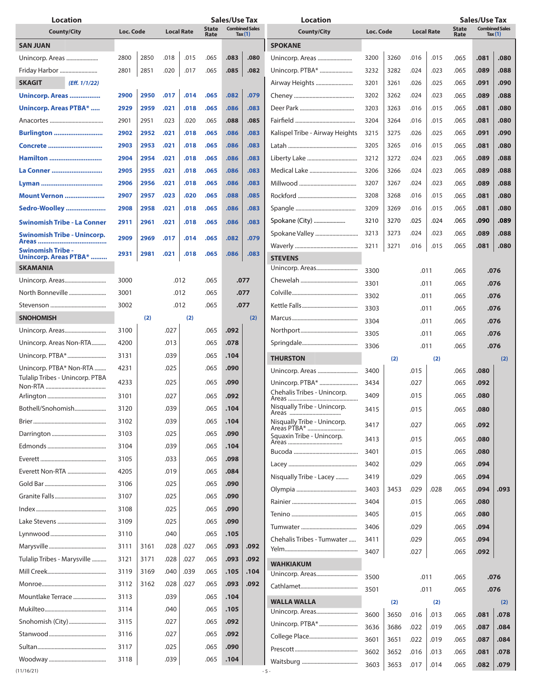| <b>Location</b>                    |                                |      |                                                            | <b>Sales/Use Tax</b><br><b>Location</b> |      |                    |           |                                 |                   |      | <b>Sales/Use Tax</b>                                       |      |      |      |      |
|------------------------------------|--------------------------------|------|------------------------------------------------------------|-----------------------------------------|------|--------------------|-----------|---------------------------------|-------------------|------|------------------------------------------------------------|------|------|------|------|
| <b>County/City</b>                 | Loc. Code<br><b>Local Rate</b> |      | <b>Combined Sales</b><br><b>State</b><br>Tax $(1)$<br>Rate |                                         |      | <b>County/City</b> | Loc. Code |                                 | <b>Local Rate</b> |      | <b>Combined Sales</b><br><b>State</b><br>Tax $(1)$<br>Rate |      |      |      |      |
| <b>SAN JUAN</b>                    |                                |      |                                                            |                                         |      |                    |           | <b>SPOKANE</b>                  |                   |      |                                                            |      |      |      |      |
| Unincorp. Areas                    | 2800                           | 2850 | .018                                                       | .015                                    | .065 | .083               | .080      | Unincorp. Areas                 | 3200              | 3260 | .016                                                       | .015 | .065 | .081 | .080 |
| Friday Harbor                      | 2801                           | 2851 | .020                                                       | .017                                    | .065 | .085               | .082      |                                 | 3232              | 3282 | .024                                                       | .023 | .065 | .089 | .088 |
| <b>SKAGIT</b><br>(Eff. 1/1/22)     |                                |      |                                                            |                                         |      |                    |           |                                 | 3201              | 3261 | .026                                                       | .025 | .065 | .091 | .090 |
| Unincorp. Areas                    | 2900                           | 2950 | .017                                                       | .014                                    | .065 | .082<br>.079       |           |                                 | 3202              | 3262 | .024                                                       | .023 | .065 | .089 | .088 |
| Unincorp. Areas PTBA*              | 2929                           | 2959 | .021                                                       | .018                                    | .065 | .086<br>.083       |           |                                 | 3203              | 3263 | .016                                                       | .015 | .065 | .081 | .080 |
|                                    | 2901                           | 2951 | .023                                                       | .020                                    | .065 | .088               | .085      |                                 | 3204              | 3264 | .016                                                       | .015 | .065 | .081 | .080 |
|                                    | 2902                           | 2952 | .021                                                       | .018                                    | .065 | .086               | .083      | Kalispel Tribe - Airway Heights | 3215              | 3275 | .026                                                       | .025 | .065 | .091 | .090 |
| <b>Burlington </b>                 |                                |      |                                                            |                                         |      |                    |           |                                 |                   |      |                                                            |      |      |      |      |
| Concrete                           | 2903                           | 2953 | .021                                                       | .018                                    | .065 | .086               | .083      |                                 | 3205              | 3265 | .016                                                       | .015 | .065 | .081 | .080 |
| <b>Hamilton </b>                   | 2904                           | 2954 | .021                                                       | .018                                    | .065 | .086               | .083      |                                 | 3212              | 3272 | .024                                                       | .023 | .065 | .089 | .088 |
| La Conner                          | 2905                           | 2955 | .021                                                       | .018                                    | .065 | .086               | .083      |                                 | 3206              | 3266 | .024                                                       | .023 | .065 | .089 | .088 |
|                                    | 2906                           | 2956 | .021                                                       | .018                                    | .065 | .086               | .083      |                                 | 3207              | 3267 | .024                                                       | .023 | .065 | .089 | .088 |
| Mount Vernon                       | 2907                           | 2957 | .023                                                       | .020                                    | .065 | .088               | .085      |                                 | 3208              | 3268 | .016                                                       | .015 | .065 | .081 | .080 |
| Sedro-Woolley                      | 2908                           | 2958 | .021                                                       | .018                                    | .065 | .086               | .083      |                                 | 3209              | 3269 | .016                                                       | .015 | .065 | .081 | .080 |
| <b>Swinomish Tribe - La Conner</b> | 2911                           | 2961 | .021                                                       | .018                                    | .065 | .086               | .083      | Spokane (City)                  | 3210              | 3270 | .025                                                       | .024 | .065 | .090 | .089 |
| Swinomish Tribe - Unincorp.        | 2909                           | 2969 | .017                                                       | .014                                    | .065 | .082               | .079      | Spokane Valley                  | 3213              | 3273 | .024                                                       | .023 | .065 | .089 | .088 |
| Swinomish Tribe -                  |                                |      |                                                            |                                         |      |                    |           |                                 | 3211              | 3271 | .016                                                       | .015 | .065 | .081 | .080 |
| Unincorp. Areas PTBA*              | 2931                           | 2981 | .021                                                       | .018                                    | .065 | .086               | .083      | <b>STEVENS</b>                  |                   |      |                                                            |      |      |      |      |
| <b>SKAMANIA</b>                    |                                |      |                                                            |                                         |      |                    |           | Unincorp. Areas                 | 3300              |      | .011                                                       |      | .065 |      | .076 |
| Unincorp. Areas                    | 3000                           |      |                                                            | .012                                    | .065 | .077               |           |                                 | 3301              |      | .011                                                       |      | .065 | .076 |      |
| North Bonneville                   | 3001                           |      |                                                            | .012                                    | .065 | .077               |           |                                 | 3302              |      | .011                                                       |      | .065 | .076 |      |
|                                    | 3002                           |      |                                                            | .012                                    | .065 | .077               |           |                                 | 3303              |      | .011                                                       |      | .065 |      | .076 |
| <b>SNOHOMISH</b>                   |                                | (2)  |                                                            | (2)                                     |      | (2)                |           |                                 | 3304              |      | .011                                                       |      | .065 |      | .076 |
| Unincorp. Areas                    | 3100                           |      | .027                                                       |                                         | .065 | .092               |           |                                 | 3305              |      | .011                                                       |      | .065 |      | .076 |
| Unincorp. Areas Non-RTA            | 4200                           |      | .013                                                       |                                         | .065 | .078               |           |                                 | 3306              |      | .011                                                       |      | .065 |      | .076 |
| Unincorp. PTBA*                    | 3131                           |      | .039                                                       |                                         | .065 | .104               |           | <b>THURSTON</b>                 |                   | (2)  |                                                            | (2)  |      |      | (2)  |
| Unincorp. PTBA* Non-RTA            | 4231                           |      | .025                                                       |                                         | .065 | .090               |           | Unincorp. Areas                 | 3400              |      | .015                                                       |      | .065 | .080 |      |
| Tulalip Tribes - Unincorp. PTBA    | 4233                           |      | .025                                                       |                                         | .065 | .090               |           |                                 | 3434              |      | .027                                                       |      | .065 | .092 |      |
|                                    |                                |      | .027                                                       |                                         |      |                    |           | Chehalis Tribes - Unincorp.     | 3409              |      | .015                                                       |      | .065 | .080 |      |
|                                    | 3101                           |      |                                                            |                                         | .065 | .092               |           | Nisqually Tribe - Unincorp.     |                   |      |                                                            |      |      |      |      |
| Bothell/Snohomish                  | 3120                           |      | .039                                                       |                                         | .065 | .104               |           |                                 | 3415              |      | .015                                                       |      | .065 | .080 |      |
|                                    | 3102                           |      | .039                                                       |                                         | .065 | .104               |           | Nisqually Tribe - Unincorp.     | 3417              |      |                                                            |      | .065 | .092 |      |
|                                    | 3103                           |      | .025                                                       |                                         | .065 | .090               |           | Squaxin Tribe - Unincorp.       | 3413              |      | .015                                                       |      | .065 | .080 |      |
|                                    | 3104                           |      | .039                                                       |                                         | .065 | .104               |           |                                 | 3401              | .015 |                                                            |      | .065 | .080 |      |
|                                    | 3105                           |      | .033                                                       |                                         | .065 | .098               |           |                                 | 3402              |      | .029                                                       |      | .065 | .094 |      |
| Everett Non-RTA                    | 4205                           |      | .019                                                       |                                         | .065 | .084               |           | Nisqually Tribe - Lacey         | 3419              | .029 |                                                            |      | .065 | .094 |      |
|                                    | 3106                           |      | .025                                                       |                                         | .065 | .090               |           |                                 | 3403              | 3453 | .029                                                       | .028 | .065 | .094 | .093 |
|                                    | 3107                           |      | .025                                                       |                                         | .065 | .090               |           |                                 | 3404              |      | .015                                                       |      | .065 | .080 |      |
|                                    | 3108                           |      | .025                                                       |                                         | .065 | .090               |           |                                 | 3405              |      | .015                                                       |      | .065 | .080 |      |
|                                    | 3109                           |      | .025                                                       |                                         | .065 | .090               |           |                                 | 3406              |      | .029                                                       |      | .065 | .094 |      |
|                                    | 3110                           |      | .040                                                       |                                         | .065 | .105               |           | Chehalis Tribes - Tumwater      | 3411              |      | .029                                                       |      | .065 | .094 |      |
|                                    | 3111                           | 3161 | .028                                                       | .027                                    | .065 | .093               | .092      |                                 | 3407              |      | .027                                                       |      | .065 | .092 |      |
| Tulalip Tribes - Marysville        | 3121                           | 3171 | .028                                                       | .027                                    | .065 | .093               | .092      | <b>WAHKIAKUM</b>                |                   |      |                                                            |      |      |      |      |
|                                    | 3119                           | 3169 | .040                                                       | .039                                    | .065 | .105               | .104      | Unincorp. Areas                 |                   |      |                                                            |      |      |      |      |
|                                    | 3112                           | 3162 | .028                                                       | .027                                    | .065 | .093               | .092      |                                 | 3500              |      | .011                                                       |      | .065 |      | .076 |
| Mountlake Terrace                  | 3113                           |      | .039                                                       |                                         | .065 | .104               |           |                                 | 3501              |      | .011                                                       |      | .065 |      | .076 |
|                                    | 3114                           |      | .040                                                       |                                         | .065 | .105               |           | <b>WALLA WALLA</b>              |                   | (2)  |                                                            | (2)  |      |      | (2)  |
| Snohomish (City)                   | 3115                           |      | .027                                                       |                                         | .065 | .092               |           | Unincorp. PTBA*                 | 3600              | 3650 | .016                                                       | .013 | .065 | .081 | .078 |
|                                    | 3116                           |      | .027                                                       |                                         | .065 | .092               |           |                                 | 3636              | 3686 | .022                                                       | .019 | .065 | .087 | .084 |
|                                    | 3117                           |      | .025                                                       |                                         | .065 | .090               |           |                                 | 3601              | 3651 | .022                                                       | .019 | .065 | .087 | .084 |
|                                    | 3118                           |      | .039                                                       |                                         | .065 | .104               |           |                                 | 3602              | 3652 | .016                                                       | .013 | .065 | .081 | .078 |
| (11/16/21)                         |                                |      |                                                            |                                         |      |                    |           | $-5 -$                          | 3603              | 3653 | .017                                                       | .014 | .065 | .082 | .079 |